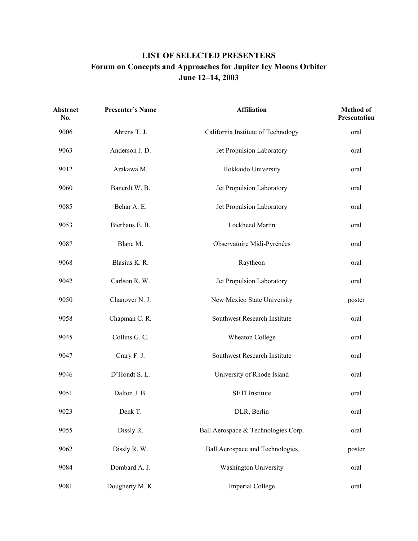## **LIST OF SELECTED PRESENTERS Forum on Concepts and Approaches for Jupiter Icy Moons Orbiter June 12–14, 2003**

| Abstract<br>No. | <b>Presenter's Name</b> | <b>Affiliation</b>                     | Method of<br>Presentation |
|-----------------|-------------------------|----------------------------------------|---------------------------|
| 9006            | Ahrens T. J.            | California Institute of Technology     | oral                      |
| 9063            | Anderson J. D.          | Jet Propulsion Laboratory              | oral                      |
| 9012            | Arakawa M.              | Hokkaido University                    | oral                      |
| 9060            | Banerdt W. B.           | Jet Propulsion Laboratory              | oral                      |
| 9085            | Behar A. E.             | Jet Propulsion Laboratory              | oral                      |
| 9053            | Bierhaus E. B.          | Lockheed Martin                        | oral                      |
| 9087            | Blanc M.                | Observatoire Midi-Pyrénées             | oral                      |
| 9068            | Blasius K. R.           | Raytheon                               | oral                      |
| 9042            | Carlson R. W.           | Jet Propulsion Laboratory              | oral                      |
| 9050            | Chanover N. J.          | New Mexico State University            | poster                    |
| 9058            | Chapman C. R.           | Southwest Research Institute           | oral                      |
| 9045            | Collins G. C.           | Wheaton College                        | oral                      |
| 9047            | Crary F. J.             | Southwest Research Institute           | oral                      |
| 9046            | D'Hondt S. L.           | University of Rhode Island             | oral                      |
| 9051            | Dalton J. B.            | <b>SETI</b> Institute                  | oral                      |
| 9023            | Denk T.                 | DLR, Berlin                            | oral                      |
| 9055            | Dissly R.               | Ball Aerospace & Technologies Corp.    | oral                      |
| 9062            | Dissly R. W.            | <b>Ball Aerospace and Technologies</b> | poster                    |
| 9084            | Dombard A. J.           | Washington University                  | oral                      |
| 9081            | Dougherty M. K.         | <b>Imperial College</b>                | oral                      |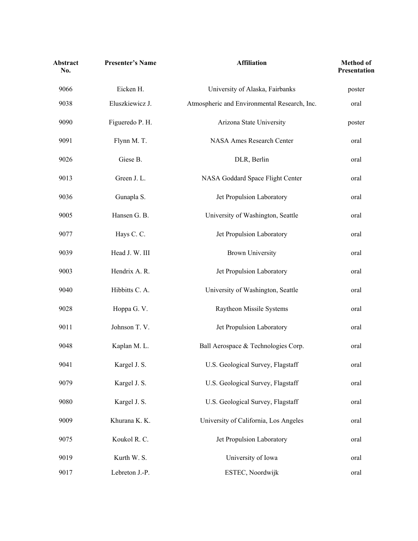| <b>Abstract</b><br>No. | <b>Presenter's Name</b> | <b>Affiliation</b>                           | <b>Method</b> of<br>Presentation |
|------------------------|-------------------------|----------------------------------------------|----------------------------------|
| 9066                   | Eicken H.               | University of Alaska, Fairbanks              | poster                           |
| 9038                   | Eluszkiewicz J.         | Atmospheric and Environmental Research, Inc. | oral                             |
| 9090                   | Figueredo P. H.         | Arizona State University                     | poster                           |
| 9091                   | Flynn M. T.             | NASA Ames Research Center                    | oral                             |
| 9026                   | Giese B.                | DLR, Berlin                                  | oral                             |
| 9013                   | Green J. L.             | NASA Goddard Space Flight Center             | oral                             |
| 9036                   | Gunapla S.              | Jet Propulsion Laboratory                    | oral                             |
| 9005                   | Hansen G. B.            | University of Washington, Seattle            | oral                             |
| 9077                   | Hays C. C.              | Jet Propulsion Laboratory                    | oral                             |
| 9039                   | Head J. W. III          | <b>Brown University</b>                      | oral                             |
| 9003                   | Hendrix A. R.           | Jet Propulsion Laboratory                    | oral                             |
| 9040                   | Hibbitts C. A.          | University of Washington, Seattle            | oral                             |
| 9028                   | Hoppa G. V.             | Raytheon Missile Systems                     | oral                             |
| 9011                   | Johnson T. V.           | Jet Propulsion Laboratory                    | oral                             |
| 9048                   | Kaplan M. L.            | Ball Aerospace & Technologies Corp.          | oral                             |
| 9041                   | Kargel J. S.            | U.S. Geological Survey, Flagstaff            | oral                             |
| 9079                   | Kargel J. S.            | U.S. Geological Survey, Flagstaff            | oral                             |
| 9080                   | Kargel J. S.            | U.S. Geological Survey, Flagstaff            | oral                             |
| 9009                   | Khurana K. K.           | University of California, Los Angeles        | oral                             |
| 9075                   | Koukol R. C.            | Jet Propulsion Laboratory                    | oral                             |
| 9019                   | Kurth W. S.             | University of Iowa                           | oral                             |
| 9017                   | Lebreton J.-P.          | ESTEC, Noordwijk                             | oral                             |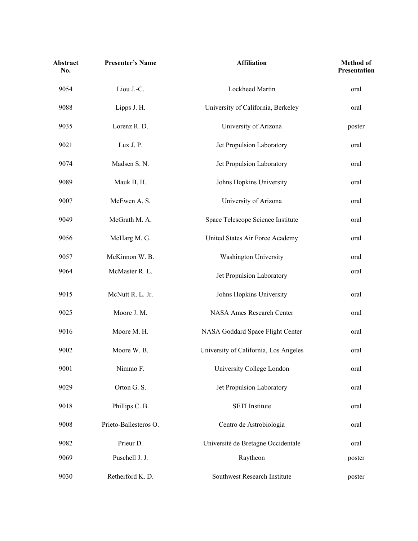| <b>Abstract</b><br>No. | <b>Presenter's Name</b> | <b>Affiliation</b>                    | <b>Method</b> of<br>Presentation |
|------------------------|-------------------------|---------------------------------------|----------------------------------|
| 9054                   | Liou J.-C.              | Lockheed Martin                       | oral                             |
| 9088                   | Lipps J. H.             | University of California, Berkeley    | oral                             |
| 9035                   | Lorenz R. D.            | University of Arizona                 | poster                           |
| 9021                   | Lux J. P.               | Jet Propulsion Laboratory             | oral                             |
| 9074                   | Madsen S. N.            | Jet Propulsion Laboratory             | oral                             |
| 9089                   | Mauk B. H.              | Johns Hopkins University              | oral                             |
| 9007                   | McEwen A. S.            | University of Arizona                 | oral                             |
| 9049                   | McGrath M. A.           | Space Telescope Science Institute     | oral                             |
| 9056                   | McHarg M. G.            | United States Air Force Academy       | oral                             |
| 9057                   | McKinnon W. B.          | Washington University                 | oral                             |
| 9064                   | McMaster R. L.          | Jet Propulsion Laboratory             | oral                             |
| 9015                   | McNutt R. L. Jr.        | Johns Hopkins University              | oral                             |
| 9025                   | Moore J. M.             | NASA Ames Research Center             | oral                             |
| 9016                   | Moore M. H.             | NASA Goddard Space Flight Center      | oral                             |
| 9002                   | Moore W. B.             | University of California, Los Angeles | oral                             |
| 9001                   | Nimmo F.                | University College London             | oral                             |
| 9029                   | Orton G. S.             | Jet Propulsion Laboratory             | oral                             |
| 9018                   | Phillips C. B.          | <b>SETI</b> Institute                 | oral                             |
| 9008                   | Prieto-Ballesteros O.   | Centro de Astrobiología               | oral                             |
| 9082                   | Prieur D.               | Université de Bretagne Occidentale    | oral                             |
| 9069                   | Puschell J. J.          | Raytheon                              | poster                           |
| 9030                   | Retherford K.D.         | Southwest Research Institute          | poster                           |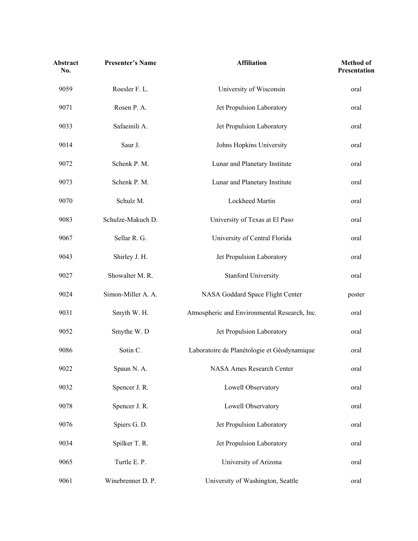| Abstract<br>No. | <b>Presenter's Name</b> | <b>Affiliation</b>                           | <b>Method</b> of<br>Presentation |
|-----------------|-------------------------|----------------------------------------------|----------------------------------|
| 9059            | Roesler F. L.           | University of Wisconsin                      | oral                             |
| 9071            | Rosen P. A.             | Jet Propulsion Laboratory                    | oral                             |
| 9033            | Safaeinili A.           | Jet Propulsion Laboratory                    | oral                             |
| 9014            | Saur J.                 | Johns Hopkins University                     | oral                             |
| 9072            | Schenk P. M.            | Lunar and Planetary Institute                | oral                             |
| 9073            | Schenk P. M.            | Lunar and Planetary Institute                | oral                             |
| 9070            | Schulz M.               | Lockheed Martin                              | oral                             |
| 9083            | Schulze-Makuch D.       | University of Texas at El Paso               | oral                             |
| 9067            | Sellar R. G.            | University of Central Florida                | oral                             |
| 9043            | Shirley J. H.           | Jet Propulsion Laboratory                    | oral                             |
| 9027            | Showalter M. R.         | <b>Stanford University</b>                   | oral                             |
| 9024            | Simon-Miller A. A.      | NASA Goddard Space Flight Center             | poster                           |
| 9031            | Smyth W. H.             | Atmospheric and Environmental Research, Inc. | oral                             |
| 9052            | Smythe W.D              | Jet Propulsion Laboratory                    | oral                             |
| 9086            | Sotin C.                | Laboratoire de Planétologie et Géodynamique  | oral                             |
| 9022            | Spaun N. A.             | NASA Ames Research Center                    | oral                             |
| 9032            | Spencer J. R.           | Lowell Observatory                           | oral                             |
| 9078            | Spencer J. R.           | Lowell Observatory                           | oral                             |
| 9076            | Spiers G. D.            | Jet Propulsion Laboratory                    | oral                             |
| 9034            | Spilker T. R.           | Jet Propulsion Laboratory                    | oral                             |
| 9065            | Turtle E. P.            | University of Arizona                        | oral                             |
| 9061            | Winebrenner D. P.       | University of Washington, Seattle            | oral                             |